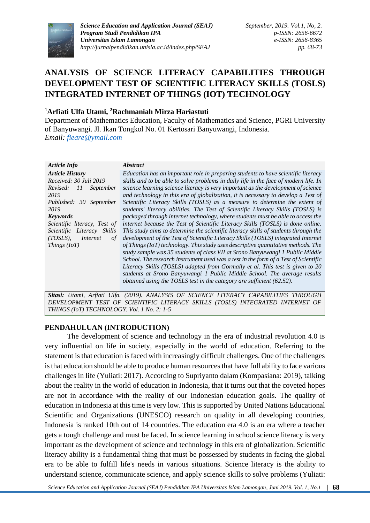

*Science Education and Application Journal (SEAJ) Program Studi Pendidikan IPA Universitas Islam Lamongan http://jurnalpendidikan.unisla.ac.id/index.php/SEAJ*

*September, 2019. Vol.1, No, 2. p-ISSN: 2656-6672 e-ISSN: 2656-8365 pp. 68-73*

# **ANALYSIS OF SCIENCE LITERACY CAPABILITIES THROUGH DEVELOPMENT TEST OF SCIENTIFIC LITERACY SKILLS (TOSLS) INTEGRATED INTERNET OF THINGS (IOT) TECHNOLOGY**

## **<sup>1</sup>Arfiati Ulfa Utami, <sup>2</sup>Rachmaniah Mirza Hariastuti**

Department of Mathematics Education, Faculty of Mathematics and Science, PGRI University of Banyuwangi. Jl. Ikan Tongkol No. 01 Kertosari Banyuwangi, Indonesia. *Email: [fieare@ymail.com](mailto:fieare@ymail.com)*

*Article Info Abstract Article History Received: 30 Juli 2019 Revised: 11 September 2019 Published: 30 September 2019 Education has an important role in preparing students to have scientific literacy skills and to be able to solve problems in daily life in the face of modern life. In science learning science literacy is very important as the development of science and technology in this era of globalization, it is necessary to develop a Test of Scientific Literacy Skills (TOSLS) as a measure to determine the extent of students' literacy abilities. The Test of Scientific Literacy Skills (TOSLS) is packaged through internet technology, where students must be able to access the internet because the Test of Scientific Literacy Skills (TOSLS) is done online. This study aims to determine the scientific literacy skills of students through the development of the Test of Scientific Literacy Skills (TOSLS) integrated Internet of Things (IoT) technology. This study uses descriptive quantitative methods. The study sample was 35 students of class VII at Srono Banyuwangi 1 Public Middle School. The research instrument used was a test in the form of a Test of Scientific Literacy Skills (TOSLS) adapted from Gormally et al. This test is given to 20 students at Srono Banyuwangi 1 Public Middle School. The average results Keywords Scientific literacy, Test of Scientific Literacy Skills (TOSLS), Internet of Things (IoT)*

*Sitasi: Utami, Arfiati Ulfa. (2019). ANALYSIS OF SCIENCE LITERACY CAPABILITIES THROUGH*  DEVELOPMENT TEST OF SCIENTIFIC LITERACY SKILLS (TOSLS) INTEGRATED INTERNET OF *THINGS (IoT) TECHNOLOGY. Vol. 1 No. 2: 1-5*

*obtained using the TOSLS test in the category are sufficient (62.52).*

## **PENDAHULUAN (INTRODUCTION)**

The development of science and technology in the era of industrial revolution 4.0 is very influential on life in society, especially in the world of education. Referring to the statement is that education is faced with increasingly difficult challenges. One of the challenges is that education should be able to produce human resources that have full ability to face various challenges in life (Yuliati: 2017). According to Supriyanto dalam (Kompasiana: 2019), talking about the reality in the world of education in Indonesia, that it turns out that the coveted hopes are not in accordance with the reality of our Indonesian education goals. The quality of education in Indonesia at this time is very low. This is supported by United Nations Educational Scientific and Organizations (UNESCO) research on quality in all developing countries, Indonesia is ranked 10th out of 14 countries. The education era 4.0 is an era where a teacher gets a tough challenge and must be faced. In science learning in school science literacy is very important as the development of science and technology in this era of globalization. Scientific literacy ability is a fundamental thing that must be possessed by students in facing the global era to be able to fulfill life's needs in various situations. Science literacy is the ability to understand science, communicate science, and apply science skills to solve problems (Yuliati: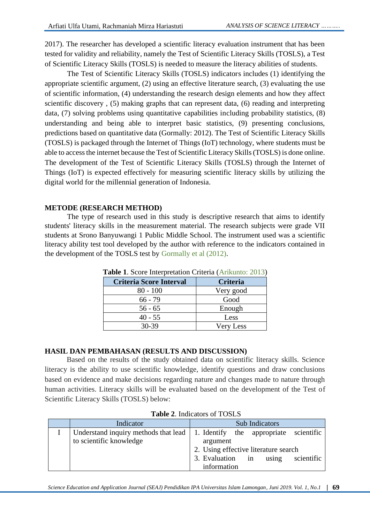2017). The researcher has developed a scientific literacy evaluation instrument that has been tested for validity and reliability, namely the Test of Scientific Literacy Skills (TOSLS), a Test of Scientific Literacy Skills (TOSLS) is needed to measure the literacy abilities of students.

The Test of Scientific Literacy Skills (TOSLS) indicators includes (1) identifying the appropriate scientific argument, (2) using an effective literature search, (3) evaluating the use of scientific information, (4) understanding the research design elements and how they affect scientific discovery , (5) making graphs that can represent data, (6) reading and interpreting data, (7) solving problems using quantitative capabilities including probability statistics, (8) understanding and being able to interpret basic statistics, (9) presenting conclusions, predictions based on quantitative data (Gormally: 2012). The Test of Scientific Literacy Skills (TOSLS) is packaged through the Internet of Things (IoT) technology, where students must be able to access the internet because the Test of Scientific Literacy Skills (TOSLS) is done online. The development of the Test of Scientific Literacy Skills (TOSLS) through the Internet of Things (IoT) is expected effectively for measuring scientific literacy skills by utilizing the digital world for the millennial generation of Indonesia.

## **METODE (RESEARCH METHOD)**

The type of research used in this study is descriptive research that aims to identify students' literacy skills in the measurement material. The research subjects were grade VII students at Srono Banyuwangi 1 Public Middle School. The instrument used was a scientific literacy ability test tool developed by the author with reference to the indicators contained in the development of the TOSLS test by Gormally et al (2012).

| <b>Criteria Score Interval</b> | Criteria                            |  |
|--------------------------------|-------------------------------------|--|
| $80 - 100$                     | Very good                           |  |
| $66 - 79$                      | Good<br>Enough<br>Less<br>Very Less |  |
| $56 - 65$                      |                                     |  |
| $40 - 55$                      |                                     |  |
| 30-39                          |                                     |  |

**Table 1**. Score Interpretation Criteria (Arikunto: 2013)

## **HASIL DAN PEMBAHASAN (RESULTS AND DISCUSSION)**

Based on the results of the study obtained data on scientific literacy skills. Science literacy is the ability to use scientific knowledge, identify questions and draw conclusions based on evidence and make decisions regarding nature and changes made to nature through human activities. Literacy skills will be evaluated based on the development of the Test of Scientific Literacy Skills (TOSLS) below:

| Indicator               | Sub Indicators                                                                      |  |  |
|-------------------------|-------------------------------------------------------------------------------------|--|--|
|                         | Understand inquiry methods that lead $\vert$ 1. Identify the appropriate scientific |  |  |
| to scientific knowledge | argument                                                                            |  |  |
|                         | 2. Using effective literature search                                                |  |  |
|                         | 3. Evaluation in<br>using<br>scientific                                             |  |  |
|                         | information                                                                         |  |  |

| <b>Table 2. Indicators of TOSLS</b> |  |
|-------------------------------------|--|
|-------------------------------------|--|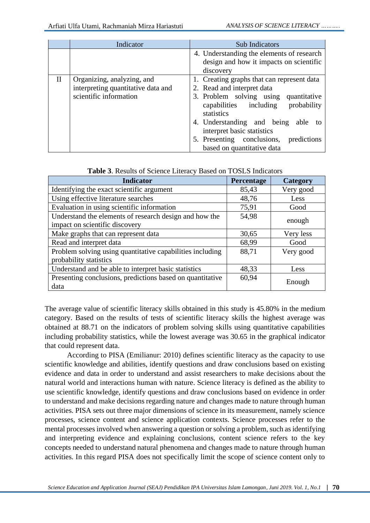|              | Indicator                                                                                  | <b>Sub Indicators</b>                                                                                                                                                                                                                                                                                                   |  |
|--------------|--------------------------------------------------------------------------------------------|-------------------------------------------------------------------------------------------------------------------------------------------------------------------------------------------------------------------------------------------------------------------------------------------------------------------------|--|
|              |                                                                                            | 4. Understanding the elements of research<br>design and how it impacts on scientific<br>discovery                                                                                                                                                                                                                       |  |
| $\mathbf{I}$ | Organizing, analyzing, and<br>interpreting quantitative data and<br>scientific information | 1. Creating graphs that can represent data<br>2. Read and interpret data<br>3. Problem solving using quantitative<br>probability<br>capabilities including<br>statistics<br>4. Understanding and being<br>able to<br>interpret basic statistics<br>5. Presenting conclusions, predictions<br>based on quantitative data |  |

| <b>Indicator</b>                                          | Percentage | Category  |  |
|-----------------------------------------------------------|------------|-----------|--|
| Identifying the exact scientific argument                 | 85,43      | Very good |  |
| Using effective literature searches                       | 48,76      | Less      |  |
| Evaluation in using scientific information                | 75,91      | Good      |  |
| Understand the elements of research design and how the    | 54,98      |           |  |
| impact on scientific discovery                            |            | enough    |  |
| Make graphs that can represent data                       | 30,65      | Very less |  |
| Read and interpret data                                   | 68,99      | Good      |  |
| Problem solving using quantitative capabilities including | 88,71      | Very good |  |
| probability statistics                                    |            |           |  |
| Understand and be able to interpret basic statistics      | 48,33      | Less      |  |
| Presenting conclusions, predictions based on quantitative | 60,94      |           |  |
| data                                                      |            | Enough    |  |

The average value of scientific literacy skills obtained in this study is 45.80% in the medium category. Based on the results of tests of scientific literacy skills the highest average was obtained at 88.71 on the indicators of problem solving skills using quantitative capabilities including probability statistics, while the lowest average was 30.65 in the graphical indicator that could represent data.

According to PISA (Emilianur: 2010) defines scientific literacy as the capacity to use scientific knowledge and abilities, identify questions and draw conclusions based on existing evidence and data in order to understand and assist researchers to make decisions about the natural world and interactions human with nature. Science literacy is defined as the ability to use scientific knowledge, identify questions and draw conclusions based on evidence in order to understand and make decisions regarding nature and changes made to nature through human activities. PISA sets out three major dimensions of science in its measurement, namely science processes, science content and science application contexts. Science processes refer to the mental processes involved when answering a question or solving a problem, such as identifying and interpreting evidence and explaining conclusions, content science refers to the key concepts needed to understand natural phenomena and changes made to nature through human activities. In this regard PISA does not specifically limit the scope of science content only to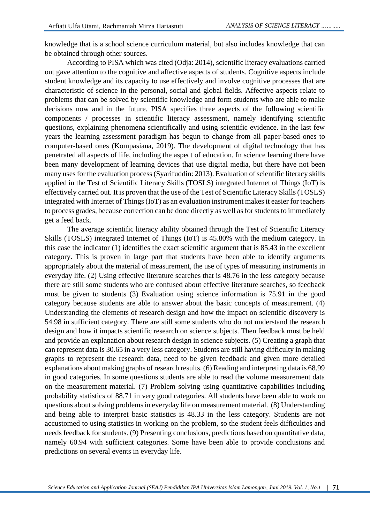knowledge that is a school science curriculum material, but also includes knowledge that can be obtained through other sources.

According to PISA which was cited (Odja: 2014), scientific literacy evaluations carried out gave attention to the cognitive and affective aspects of students. Cognitive aspects include student knowledge and its capacity to use effectively and involve cognitive processes that are characteristic of science in the personal, social and global fields. Affective aspects relate to problems that can be solved by scientific knowledge and form students who are able to make decisions now and in the future. PISA specifies three aspects of the following scientific components / processes in scientific literacy assessment, namely identifying scientific questions, explaining phenomena scientifically and using scientific evidence. In the last few years the learning assessment paradigm has begun to change from all paper-based ones to computer-based ones (Kompasiana, 2019). The development of digital technology that has penetrated all aspects of life, including the aspect of education. In science learning there have been many development of learning devices that use digital media, but there have not been many uses for the evaluation process (Syarifuddin: 2013). Evaluation of scientific literacy skills applied in the Test of Scientific Literacy Skills (TOSLS) integrated Internet of Things (IoT) is effectively carried out. It is proven that the use of the Test of Scientific Literacy Skills (TOSLS) integrated with Internet of Things (IoT) as an evaluation instrument makes it easier for teachers to process grades, because correction can be done directly as well as for students to immediately get a feed back.

The average scientific literacy ability obtained through the Test of Scientific Literacy Skills (TOSLS) integrated Internet of Things (IoT) is 45.80% with the medium category. In this case the indicator (1) identifies the exact scientific argument that is 85.43 in the excellent category. This is proven in large part that students have been able to identify arguments appropriately about the material of measurement, the use of types of measuring instruments in everyday life. (2) Using effective literature searches that is 48.76 in the less category because there are still some students who are confused about effective literature searches, so feedback must be given to students (3) Evaluation using science information is 75.91 in the good category because students are able to answer about the basic concepts of measurement. (4) Understanding the elements of research design and how the impact on scientific discovery is 54.98 in sufficient category. There are still some students who do not understand the research design and how it impacts scientific research on science subjects. Then feedback must be held and provide an explanation about research design in science subjects. (5) Creating a graph that can represent data is 30.65 in a very less category. Students are still having difficulty in making graphs to represent the research data, need to be given feedback and given more detailed explanations about making graphs of research results. (6) Reading and interpreting data is 68.99 in good categories. In some questions students are able to read the volume measurement data on the measurement material. (7) Problem solving using quantitative capabilities including probability statistics of 88.71 in very good categories. All students have been able to work on questions about solving problems in everyday life on measurement material. (8) Understanding and being able to interpret basic statistics is 48.33 in the less category. Students are not accustomed to using statistics in working on the problem, so the student feels difficulties and needs feedback for students. (9) Presenting conclusions, predictions based on quantitative data, namely 60.94 with sufficient categories. Some have been able to provide conclusions and predictions on several events in everyday life.